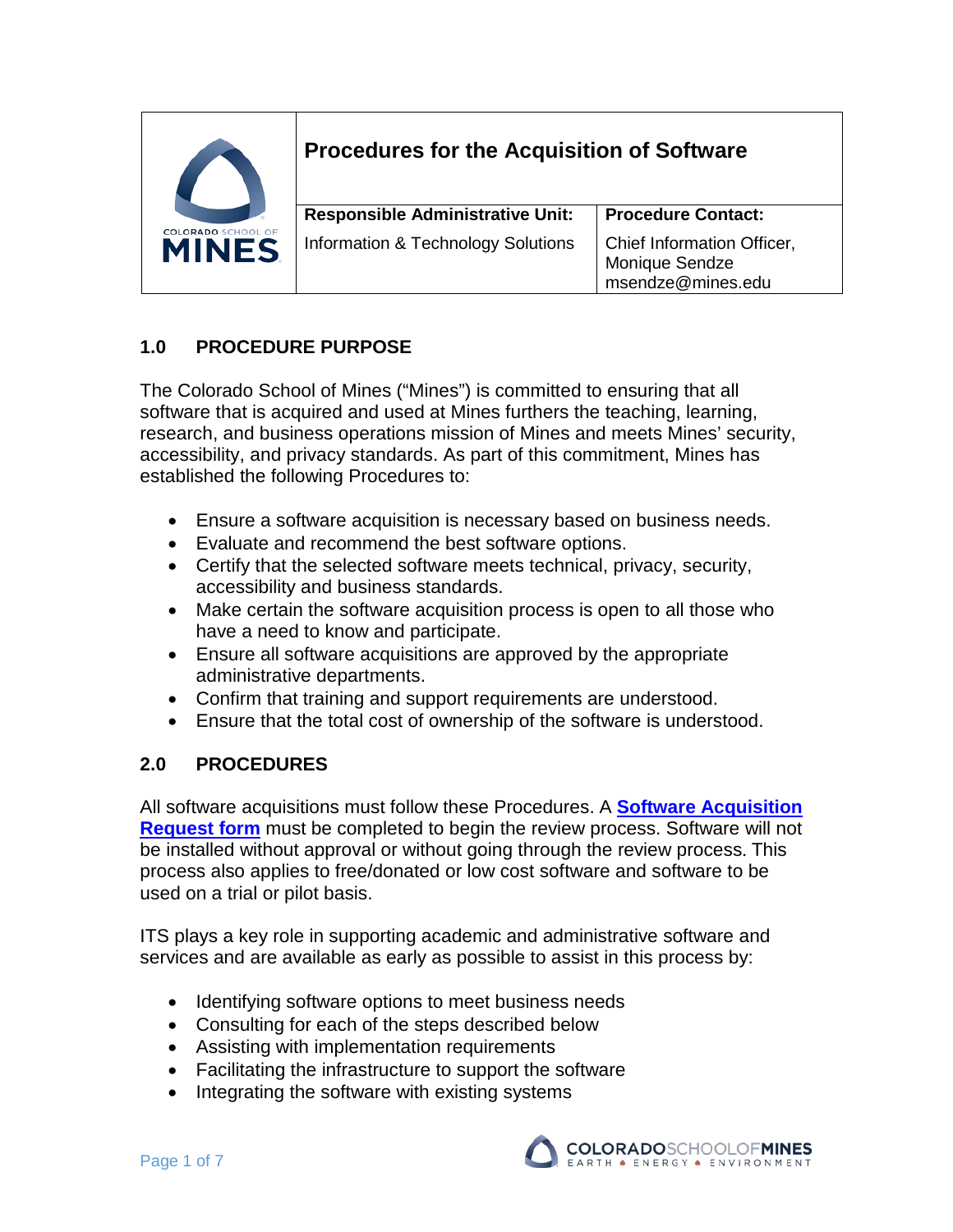

# **Procedures for the Acquisition of Software**

| <b>Responsible Administrative Unit:</b> | <b>Procedure Contact:</b>                                           |
|-----------------------------------------|---------------------------------------------------------------------|
| Information & Technology Solutions      | Chief Information Officer,<br>Monique Sendze<br>  msendze@mines.edu |

## **1.0 PROCEDURE PURPOSE**

The Colorado School of Mines ("Mines") is committed to ensuring that all software that is acquired and used at Mines furthers the teaching, learning, research, and business operations mission of Mines and meets Mines' security, accessibility, and privacy standards. As part of this commitment, Mines has established the following Procedures to:

- Ensure a software acquisition is necessary based on business needs.
- Evaluate and recommend the best software options.
- Certify that the selected software meets technical, privacy, security, accessibility and business standards.
- Make certain the software acquisition process is open to all those who have a need to know and participate.
- Ensure all software acquisitions are approved by the appropriate administrative departments.
- Confirm that training and support requirements are understood.
- Ensure that the total cost of ownership of the software is understood.

## **2.0 PROCEDURES**

All software acquisitions must follow these Procedures. A **[Software Acquisition](https://helpcenter.mines.edu/TDClient/1946/Portal/Requests/ServiceDet?ID=35898)  [Request form](https://helpcenter.mines.edu/TDClient/1946/Portal/Requests/ServiceDet?ID=35898)** must be completed to begin the review process. Software will not be installed without approval or without going through the review process. This process also applies to free/donated or low cost software and software to be used on a trial or pilot basis.

ITS plays a key role in supporting academic and administrative software and services and are available as early as possible to assist in this process by:

- Identifying software options to meet business needs
- Consulting for each of the steps described below
- Assisting with implementation requirements
- Facilitating the infrastructure to support the software
- Integrating the software with existing systems

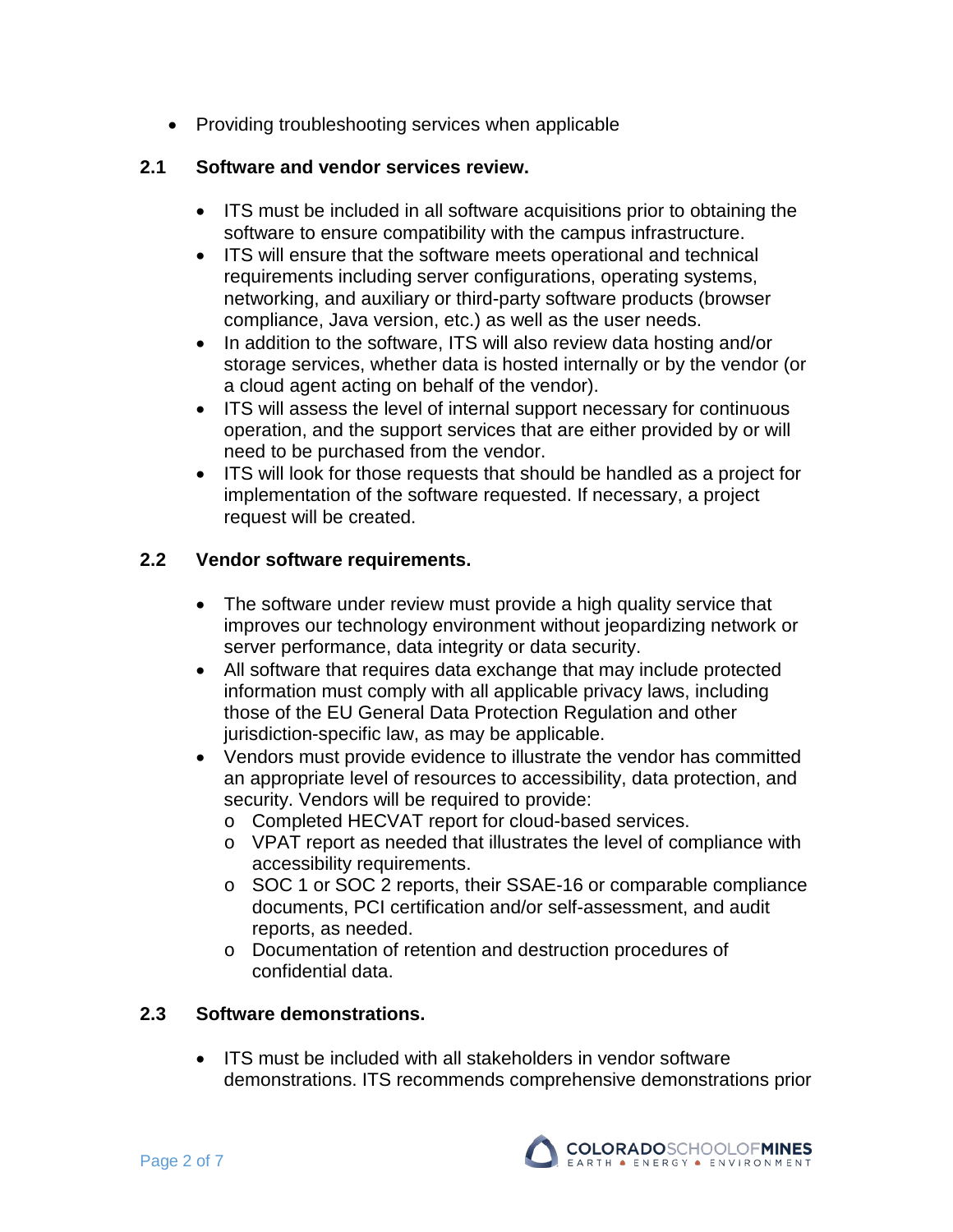• Providing troubleshooting services when applicable

#### **2.1 Software and vendor services review.**

- ITS must be included in all software acquisitions prior to obtaining the software to ensure compatibility with the campus infrastructure.
- ITS will ensure that the software meets operational and technical requirements including server configurations, operating systems, networking, and auxiliary or third-party software products (browser compliance, Java version, etc.) as well as the user needs.
- In addition to the software, ITS will also review data hosting and/or storage services, whether data is hosted internally or by the vendor (or a cloud agent acting on behalf of the vendor).
- ITS will assess the level of internal support necessary for continuous operation, and the support services that are either provided by or will need to be purchased from the vendor.
- ITS will look for those requests that should be handled as a project for implementation of the software requested. If necessary, a project request will be created.

#### **2.2 Vendor software requirements.**

- The software under review must provide a high quality service that improves our technology environment without jeopardizing network or server performance, data integrity or data security.
- All software that requires data exchange that may include protected information must comply with all applicable privacy laws, including those of the EU General Data Protection Regulation and other jurisdiction-specific law, as may be applicable.
- Vendors must provide evidence to illustrate the vendor has committed an appropriate level of resources to accessibility, data protection, and security. Vendors will be required to provide:
	- o Completed HECVAT report for cloud-based services.
	- o VPAT report as needed that illustrates the level of compliance with accessibility requirements.
	- o SOC 1 or SOC 2 reports, their SSAE-16 or comparable compliance documents, PCI certification and/or self-assessment, and audit reports, as needed.
	- o Documentation of retention and destruction procedures of confidential data.

#### **2.3 Software demonstrations.**

• ITS must be included with all stakeholders in vendor software demonstrations. ITS recommends comprehensive demonstrations prior

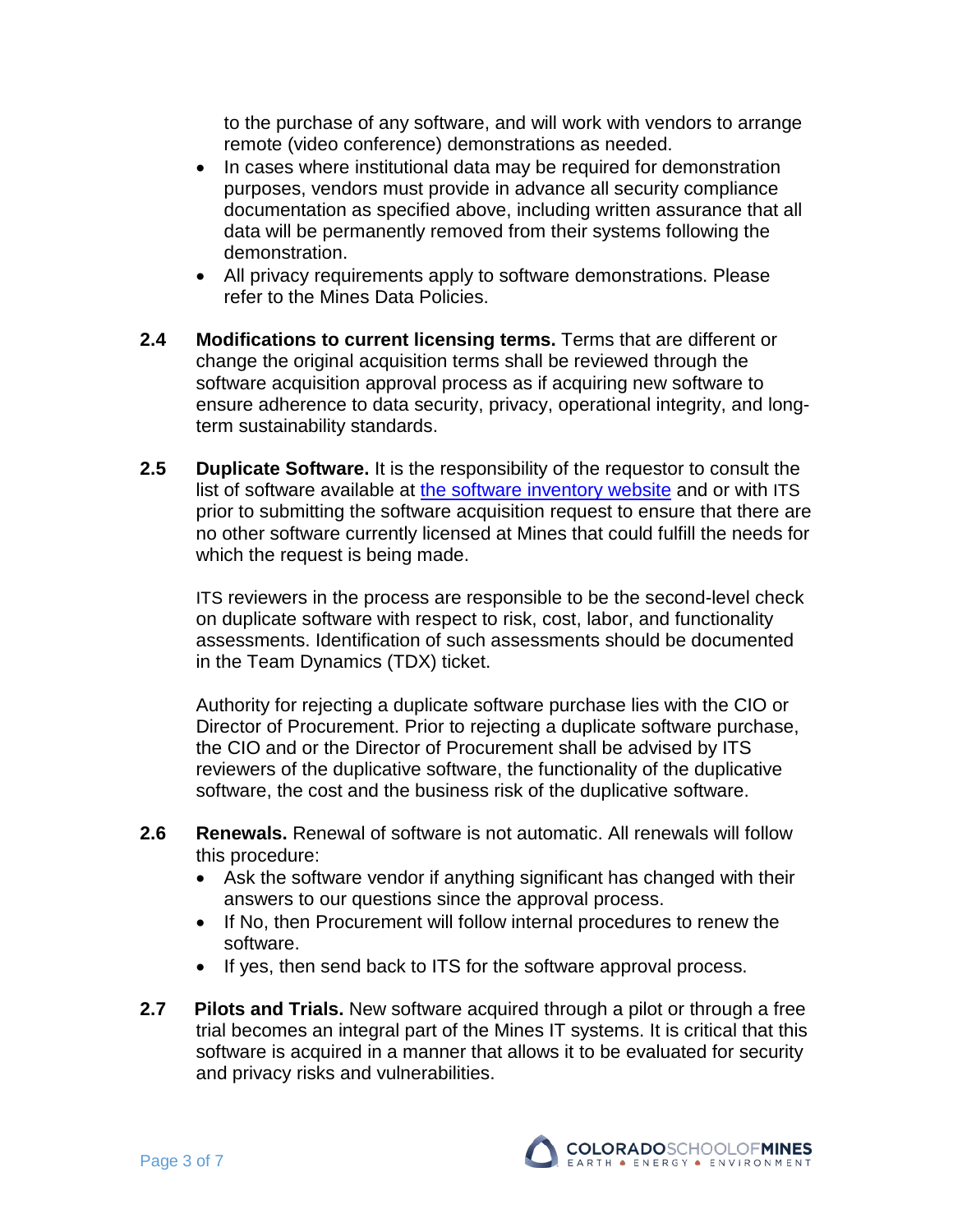to the purchase of any software, and will work with vendors to arrange remote (video conference) demonstrations as needed.

- In cases where institutional data may be required for demonstration purposes, vendors must provide in advance all security compliance documentation as specified above, including written assurance that all data will be permanently removed from their systems following the demonstration.
- All privacy requirements apply to software demonstrations. Please refer to the Mines [Data Policies.](https://www.mines.edu/policy-library/data-policies/)
- **2.4 Modifications to current licensing terms.** Terms that are different or change the original acquisition terms shall be reviewed through the software acquisition approval process as if acquiring new software to ensure adherence to data security, privacy, operational integrity, and longterm sustainability standards.
- **2.5 Duplicate Software.** It is the responsibility of the requestor to consult the list of software available at [the software inventory website](https://helpcenter.mines.edu/TDClient/1946/Portal/KB/ArticleDet?ID=78868) and or with ITS prior to submitting the software acquisition request to ensure that there are no other software currently licensed at Mines that could fulfill the needs for which the request is being made.

ITS reviewers in the process are responsible to be the second-level check on duplicate software with respect to risk, cost, labor, and functionality assessments. Identification of such assessments should be documented in the Team Dynamics (TDX) ticket.

Authority for rejecting a duplicate software purchase lies with the CIO or Director of Procurement. Prior to rejecting a duplicate software purchase, the CIO and or the Director of Procurement shall be advised by ITS reviewers of the duplicative software, the functionality of the duplicative software, the cost and the business risk of the duplicative software.

- **2.6 Renewals.** Renewal of software is not automatic. All renewals will follow this procedure:
	- Ask the software vendor if anything significant has changed with their answers to our questions since the approval process.
	- If No, then Procurement will follow internal procedures to renew the software.
	- If yes, then send back to ITS for the software approval process.
- **2.7 Pilots and Trials.** New software acquired through a pilot or through a free trial becomes an integral part of the Mines IT systems. It is critical that this software is acquired in a manner that allows it to be evaluated for security and privacy risks and vulnerabilities.

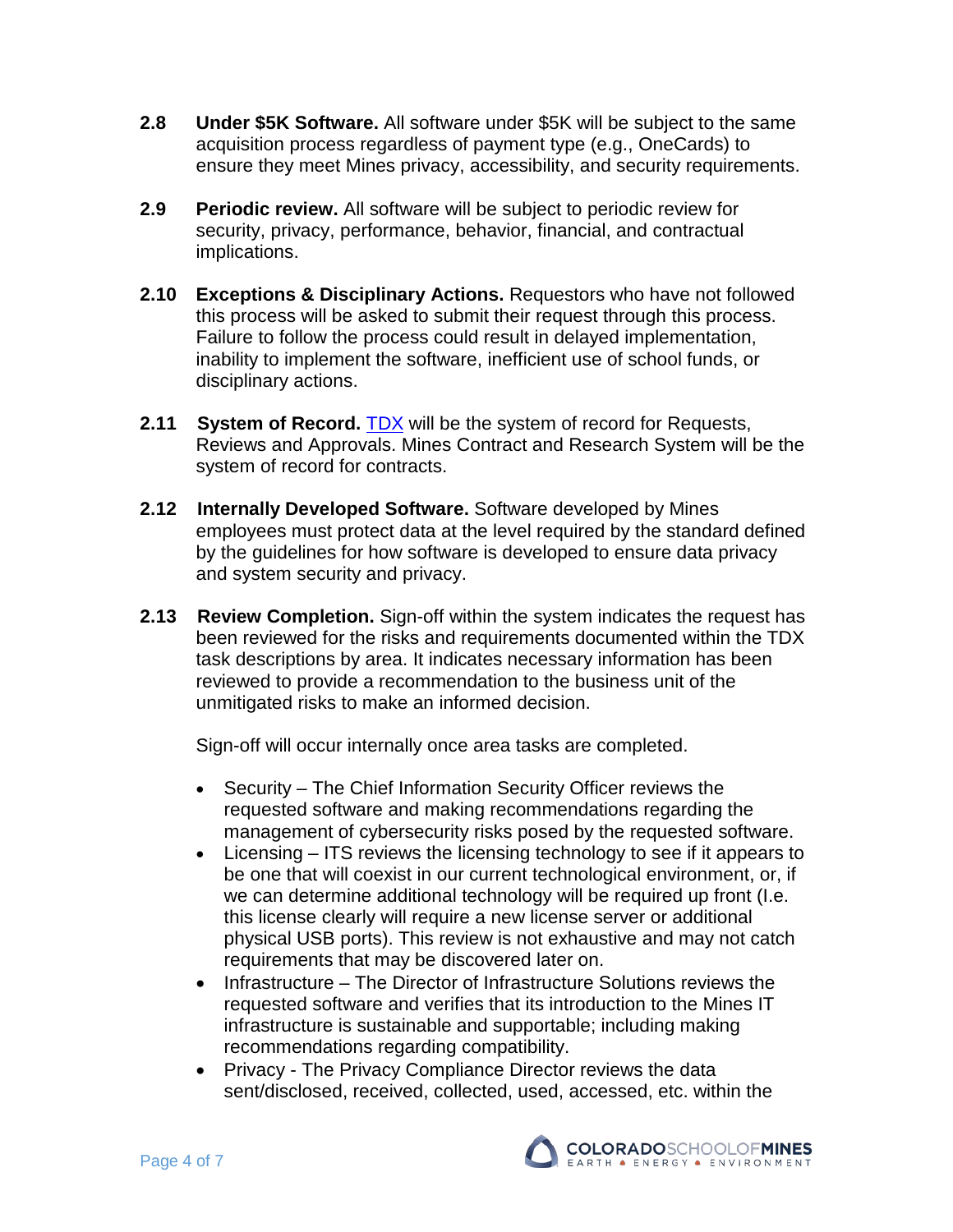- **2.8 Under \$5K Software.** All software under \$5K will be subject to the same acquisition process regardless of payment type (e.g., OneCards) to ensure they meet Mines privacy, accessibility, and security requirements.
- **2.9 Periodic review.** All software will be subject to periodic review for security, privacy, performance, behavior, financial, and contractual implications.
- **2.10 Exceptions & Disciplinary Actions.** Requestors who have not followed this process will be asked to submit their request through this process. Failure to follow the process could result in delayed implementation, inability to implement the software, inefficient use of school funds, or disciplinary actions.
- **2.11 System of Record. [TDX](https://mines.teamdynamix.com/TDClient/KB/ArticleDet?ID=80691) will be the system of record for Requests,** Reviews and Approvals. Mines Contract and Research System will be the system of record for contracts.
- **2.12 Internally Developed Software.** Software developed by Mines employees must protect data at the level required by the standard defined by the guidelines for how software is developed to ensure data privacy and system security and privacy.
- **2.13 Review Completion.** Sign-off within the system indicates the request has been reviewed for the risks and requirements documented within the TDX task descriptions by area. It indicates necessary information has been reviewed to provide a recommendation to the business unit of the unmitigated risks to make an informed decision.

Sign-off will occur internally once area tasks are completed.

- Security The Chief Information Security Officer reviews the requested software and making recommendations regarding the management of cybersecurity risks posed by the requested software.
- Licensing ITS reviews the licensing technology to see if it appears to be one that will coexist in our current technological environment, or, if we can determine additional technology will be required up front (I.e. this license clearly will require a new license server or additional physical USB ports). This review is not exhaustive and may not catch requirements that may be discovered later on.
- Infrastructure The Director of Infrastructure Solutions reviews the requested software and verifies that its introduction to the Mines IT infrastructure is sustainable and supportable; including making recommendations regarding compatibility.
- Privacy The Privacy Compliance Director reviews the data sent/disclosed, received, collected, used, accessed, etc. within the

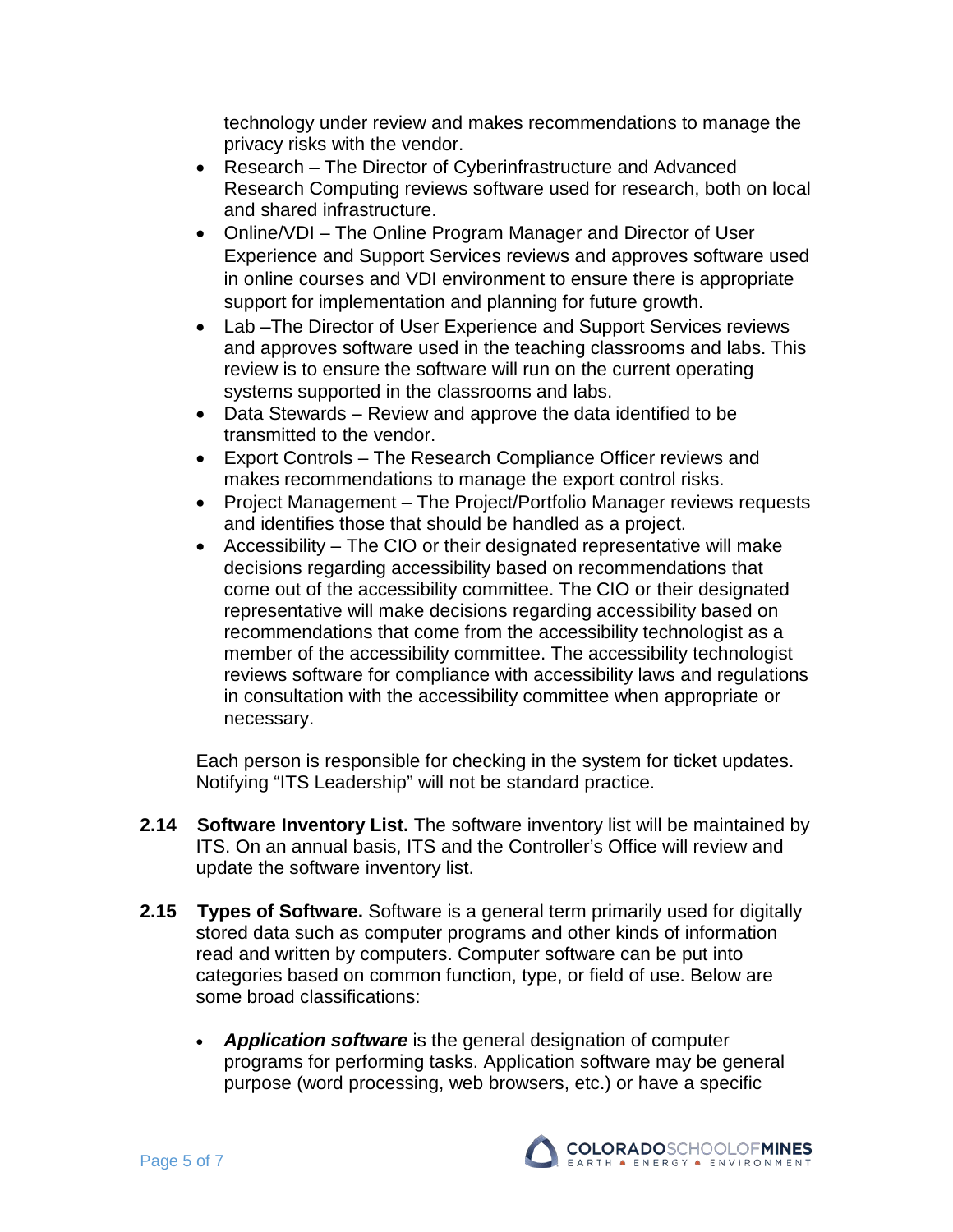technology under review and makes recommendations to manage the privacy risks with the vendor.

- Research The Director of Cyberinfrastructure and Advanced Research Computing reviews software used for research, both on local and shared infrastructure.
- Online/VDI The Online Program Manager and Director of User Experience and Support Services reviews and approves software used in online courses and VDI environment to ensure there is appropriate support for implementation and planning for future growth.
- Lab –The Director of User Experience and Support Services reviews and approves software used in the teaching classrooms and labs. This review is to ensure the software will run on the current operating systems supported in the classrooms and labs.
- Data Stewards Review and approve the data identified to be transmitted to the vendor.
- Export Controls The Research Compliance Officer reviews and makes recommendations to manage the export control risks.
- Project Management The Project/Portfolio Manager reviews requests and identifies those that should be handled as a project.
- Accessibility The CIO or their designated representative will make decisions regarding accessibility based on recommendations that come out of the accessibility committee. The CIO or their designated representative will make decisions regarding accessibility based on recommendations that come from the accessibility technologist as a member of the accessibility committee. The accessibility technologist reviews software for compliance with accessibility laws and regulations in consultation with the accessibility committee when appropriate or necessary.

Each person is responsible for checking in the system for ticket updates. Notifying "ITS Leadership" will not be standard practice.

- **2.14 Software Inventory List.** The software inventory list will be maintained by ITS. On an annual basis, ITS and the Controller's Office will review and update the software inventory list.
- **2.15 Types of Software.** Software is a general term primarily used for digitally stored data such as computer programs and other kinds of information read and written by computers. Computer software can be put into categories based on common function, type, or field of use. Below are some broad classifications:
	- *[Application](https://en.m.wikipedia.org/wiki/Application_software) software* is the general designation of computer programs for performing tasks. Application software may be general purpose [\(word processing,](https://en.m.wikipedia.org/wiki/Word_processing) [web browsers,](https://en.m.wikipedia.org/wiki/Web_browsers) etc.) or have a specific

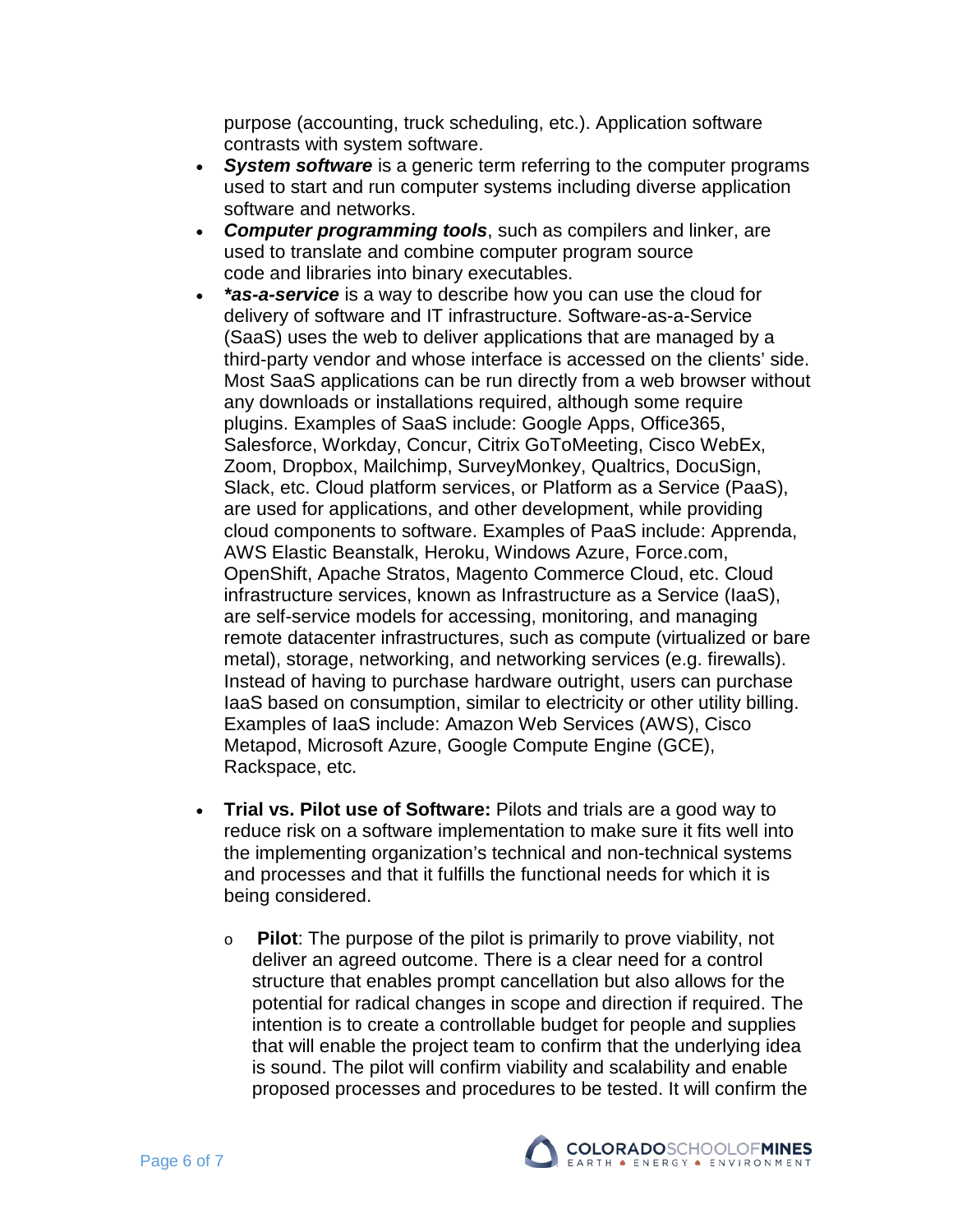purpose (accounting, truck scheduling, etc.). Application software contrasts with system software.

- *[System software](https://en.m.wikipedia.org/wiki/System_software)* is a generic term referring to the computer programs used to start and run computer systems including diverse application software and networks.
- *[Computer programming tools](https://en.m.wikipedia.org/wiki/Programming_tools)*, such as [compilers](https://en.m.wikipedia.org/wiki/Compilers) and [linker,](https://en.m.wikipedia.org/wiki/Linker_(computing)) are used to translate and combine [computer program source](https://en.m.wikipedia.org/wiki/Source_code)  [code](https://en.m.wikipedia.org/wiki/Source_code) and [libraries](https://en.m.wikipedia.org/wiki/Library_(computing)) into binary [executables.](https://en.m.wikipedia.org/wiki/Random-access_memory)
- *\*as-a-service* is a way to describe how you can use the cloud for delivery of software and IT infrastructure. Software-as-a-Service (SaaS) uses the web to deliver applications that are managed by a third-party vendor and whose interface is accessed on the clients' side. Most SaaS applications can be run directly from a web browser without any downloads or installations required, although some require plugins. Examples of SaaS include: Google Apps, Office365, Salesforce, Workday, Concur, Citrix GoToMeeting, Cisco WebEx, Zoom, Dropbox, Mailchimp, SurveyMonkey, Qualtrics, DocuSign, Slack, etc. Cloud platform services, or [Platform as a Service \(PaaS\),](https://apprenda.com/white-papers/enterprise-paas-for-existing-and-new-apps/?utm_source=library&utm_medium=post&utm_term=saaspaasiaas&utm_campaign=existingandnewapps) are used for applications, and other development, while providing cloud components to software. Examples of PaaS include: Apprenda, AWS Elastic Beanstalk, Heroku, Windows Azure, Force.com, OpenShift, Apache Stratos, Magento Commerce Cloud, etc. Cloud infrastructure services, known as Infrastructure as a Service (IaaS), are self-service models for accessing, monitoring, and managing remote datacenter infrastructures, such as compute (virtualized or bare metal), storage, networking, and networking services (e.g. firewalls). Instead of having to purchase hardware outright, users can purchase IaaS based on consumption, similar to electricity or other utility billing. Examples of IaaS include: Amazon Web Services (AWS), Cisco Metapod, Microsoft Azure, Google Compute Engine (GCE), Rackspace, etc.
- **Trial vs. Pilot use of Software:** Pilots and trials are a good way to reduce risk on a software implementation to make sure it fits well into the implementing organization's technical and non-technical systems and processes and that it fulfills the functional needs for which it is being considered.
	- o **Pilot**: The purpose of the pilot is primarily to prove viability, not deliver an agreed outcome. There is a clear need for a control structure that enables prompt cancellation but also allows for the potential for radical changes in scope and direction if required. The intention is to create a controllable budget for people and supplies that will enable the project team to confirm that the underlying idea is sound. The pilot will confirm viability and scalability and enable proposed processes and procedures to be tested. It will confirm the